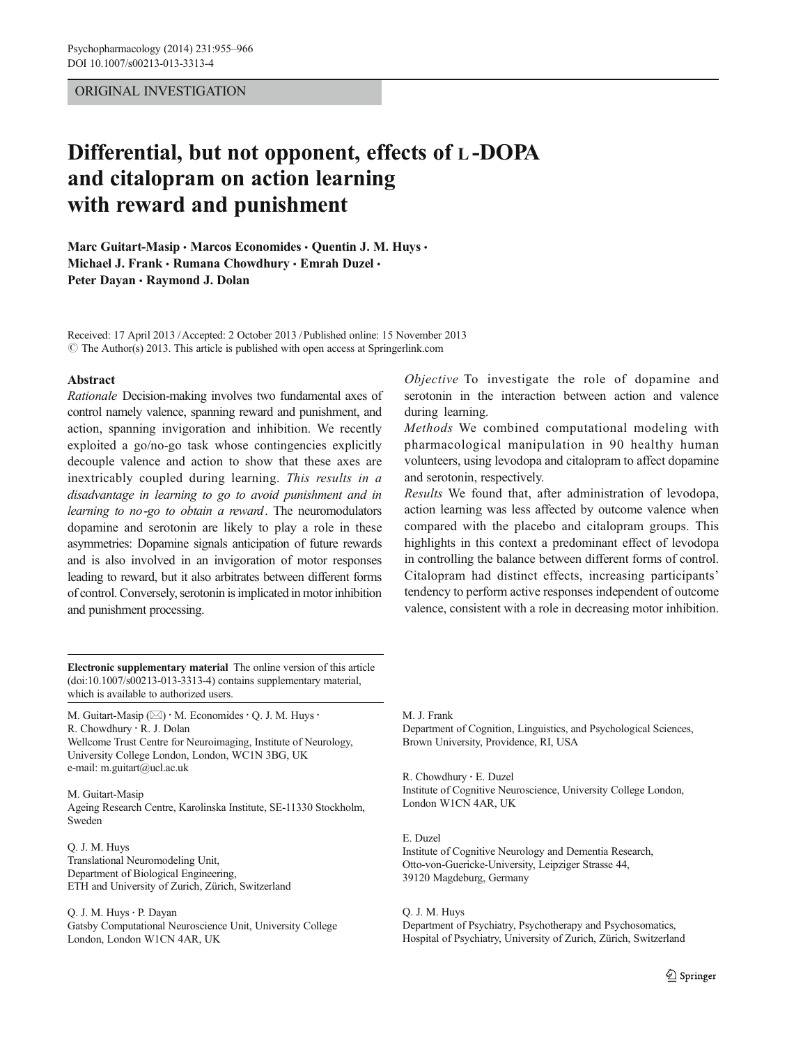# ORIGINAL INVESTIGATION

# Differential, but not opponent, effects of L -DOPA and citalopram on action learning with reward and punishment

Marc Guitart-Masip · Marcos Economides · Quentin J. M. Huys · Michael J. Frank · Rumana Chowdhury · Emrah Duzel · Peter Dayan · Raymond J. Dolan

Received: 17 April 2013 /Accepted: 2 October 2013 /Published online: 15 November 2013  $\degree$  The Author(s) 2013. This article is published with open access at Springerlink.com

#### Abstract

Rationale Decision-making involves two fundamental axes of control namely valence, spanning reward and punishment, and action, spanning invigoration and inhibition. We recently exploited a go/no-go task whose contingencies explicitly decouple valence and action to show that these axes are inextricably coupled during learning. This results in a disadvantage in learning to go to avoid punishment and in learning to no-go to obtain a reward. The neuromodulators dopamine and serotonin are likely to play a role in these asymmetries: Dopamine signals anticipation of future rewards and is also involved in an invigoration of motor responses leading to reward, but it also arbitrates between different forms of control. Conversely, serotonin is implicated in motor inhibition and punishment processing.

Objective To investigate the role of dopamine and serotonin in the interaction between action and valence during learning.

Methods We combined computational modeling with pharmacological manipulation in 90 healthy human volunteers, using levodopa and citalopram to affect dopamine and serotonin, respectively.

Results We found that, after administration of levodopa, action learning was less affected by outcome valence when compared with the placebo and citalopram groups. This highlights in this context a predominant effect of levodopa in controlling the balance between different forms of control. Citalopram had distinct effects, increasing participants' tendency to perform active responses independent of outcome valence, consistent with a role in decreasing motor inhibition.

Electronic supplementary material The online version of this article (doi[:10.1007/s00213-013-3313-4](http://dx.doi.org/10.1007/s00213-013-3313-4)) contains supplementary material, which is available to authorized users.

M. Guitart-Masip  $(\boxtimes) \cdot$  M. Economides  $\cdot$  Q. J. M. Huys $\cdot$ R. Chowdhury : R. J. Dolan Wellcome Trust Centre for Neuroimaging, Institute of Neurology, University College London, London, WC1N 3BG, UK

e-mail: m.guitart@ucl.ac.uk

M. Guitart-Masip Ageing Research Centre, Karolinska Institute, SE-11330 Stockholm, Sweden

Q. J. M. Huys Translational Neuromodeling Unit, Department of Biological Engineering, ETH and University of Zurich, Zürich, Switzerland

Q. J. M. Huys: P. Dayan

Gatsby Computational Neuroscience Unit, University College London, London W1CN 4AR, UK

M. J. Frank

Department of Cognition, Linguistics, and Psychological Sciences, Brown University, Providence, RI, USA

R. Chowdhury : E. Duzel Institute of Cognitive Neuroscience, University College London, London W1CN 4AR, UK

E. Duzel

Institute of Cognitive Neurology and Dementia Research, Otto-von-Guericke-University, Leipziger Strasse 44, 39120 Magdeburg, Germany

Q. J. M. Huys Department of Psychiatry, Psychotherapy and Psychosomatics, Hospital of Psychiatry, University of Zurich, Zürich, Switzerland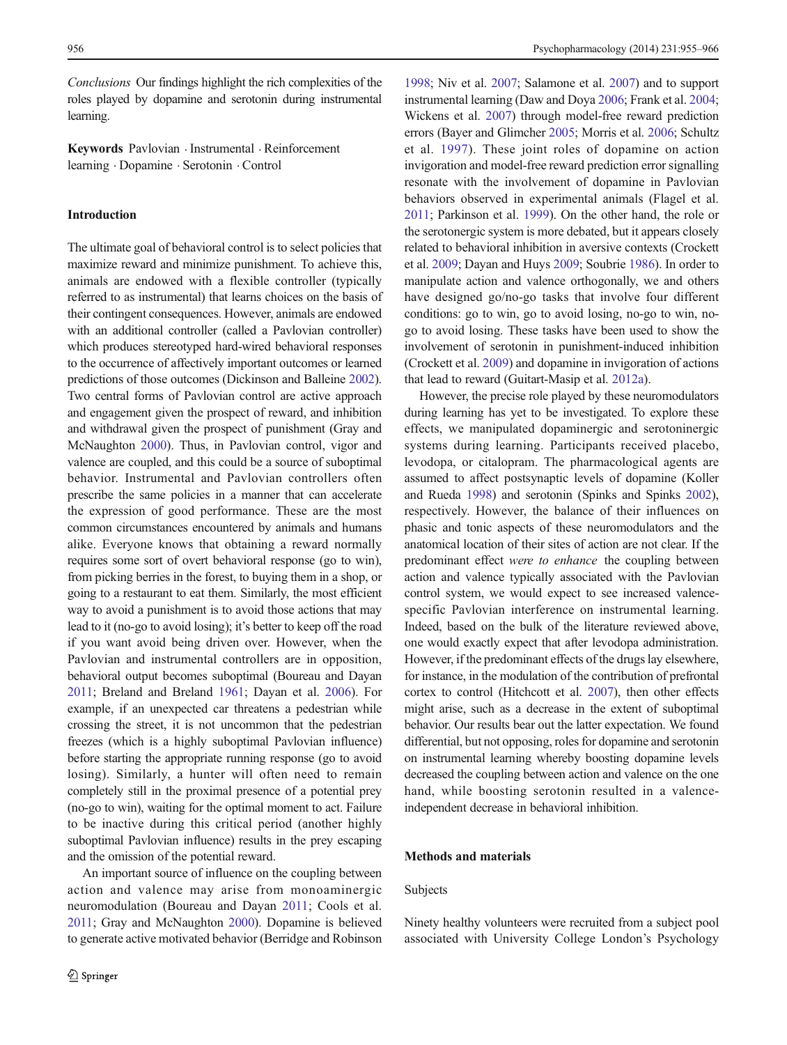Conclusions Our findings highlight the rich complexities of the roles played by dopamine and serotonin during instrumental learning.

Keywords Pavlovian . Instrumental . Reinforcement learning . Dopamine . Serotonin . Control

### Introduction

The ultimate goal of behavioral control is to select policies that maximize reward and minimize punishment. To achieve this, animals are endowed with a flexible controller (typically referred to as instrumental) that learns choices on the basis of their contingent consequences. However, animals are endowed with an additional controller (called a Pavlovian controller) which produces stereotyped hard-wired behavioral responses to the occurrence of affectively important outcomes or learned predictions of those outcomes (Dickinson and Balleine [2002\)](#page-9-0). Two central forms of Pavlovian control are active approach and engagement given the prospect of reward, and inhibition and withdrawal given the prospect of punishment (Gray and McNaughton [2000](#page-10-0)). Thus, in Pavlovian control, vigor and valence are coupled, and this could be a source of suboptimal behavior. Instrumental and Pavlovian controllers often prescribe the same policies in a manner that can accelerate the expression of good performance. These are the most common circumstances encountered by animals and humans alike. Everyone knows that obtaining a reward normally requires some sort of overt behavioral response (go to win), from picking berries in the forest, to buying them in a shop, or going to a restaurant to eat them. Similarly, the most efficient way to avoid a punishment is to avoid those actions that may lead to it (no-go to avoid losing); it's better to keep off the road if you want avoid being driven over. However, when the Pavlovian and instrumental controllers are in opposition, behavioral output becomes suboptimal (Boureau and Dayan [2011](#page-9-0); Breland and Breland [1961;](#page-9-0) Dayan et al. [2006\)](#page-9-0). For example, if an unexpected car threatens a pedestrian while crossing the street, it is not uncommon that the pedestrian freezes (which is a highly suboptimal Pavlovian influence) before starting the appropriate running response (go to avoid losing). Similarly, a hunter will often need to remain completely still in the proximal presence of a potential prey (no-go to win), waiting for the optimal moment to act. Failure to be inactive during this critical period (another highly suboptimal Pavlovian influence) results in the prey escaping and the omission of the potential reward.

An important source of influence on the coupling between action and valence may arise from monoaminergic neuromodulation (Boureau and Dayan [2011](#page-9-0); Cools et al. [2011](#page-9-0); Gray and McNaughton [2000\)](#page-10-0). Dopamine is believed to generate active motivated behavior (Berridge and Robinson

[1998;](#page-9-0) Niv et al. [2007](#page-10-0); Salamone et al. [2007\)](#page-10-0) and to support instrumental learning (Daw and Doya [2006](#page-9-0); Frank et al. [2004;](#page-9-0) Wickens et al. [2007](#page-11-0)) through model-free reward prediction errors (Bayer and Glimcher [2005](#page-9-0); Morris et al. [2006](#page-10-0); Schultz et al. [1997\)](#page-10-0). These joint roles of dopamine on action invigoration and model-free reward prediction error signalling resonate with the involvement of dopamine in Pavlovian behaviors observed in experimental animals (Flagel et al. [2011](#page-9-0); Parkinson et al. [1999\)](#page-10-0). On the other hand, the role or the serotonergic system is more debated, but it appears closely related to behavioral inhibition in aversive contexts (Crockett et al. [2009;](#page-9-0) Dayan and Huys [2009;](#page-9-0) Soubrie [1986\)](#page-10-0). In order to manipulate action and valence orthogonally, we and others have designed go/no-go tasks that involve four different conditions: go to win, go to avoid losing, no-go to win, nogo to avoid losing. These tasks have been used to show the involvement of serotonin in punishment-induced inhibition (Crockett et al. [2009](#page-9-0)) and dopamine in invigoration of actions that lead to reward (Guitart-Masip et al. [2012a](#page-10-0)).

However, the precise role played by these neuromodulators during learning has yet to be investigated. To explore these effects, we manipulated dopaminergic and serotoninergic systems during learning. Participants received placebo, levodopa, or citalopram. The pharmacological agents are assumed to affect postsynaptic levels of dopamine (Koller and Rueda [1998](#page-10-0)) and serotonin (Spinks and Spinks [2002\)](#page-10-0), respectively. However, the balance of their influences on phasic and tonic aspects of these neuromodulators and the anatomical location of their sites of action are not clear. If the predominant effect were to enhance the coupling between action and valence typically associated with the Pavlovian control system, we would expect to see increased valencespecific Pavlovian interference on instrumental learning. Indeed, based on the bulk of the literature reviewed above, one would exactly expect that after levodopa administration. However, if the predominant effects of the drugs lay elsewhere, for instance, in the modulation of the contribution of prefrontal cortex to control (Hitchcott et al. [2007](#page-10-0)), then other effects might arise, such as a decrease in the extent of suboptimal behavior. Our results bear out the latter expectation. We found differential, but not opposing, roles for dopamine and serotonin on instrumental learning whereby boosting dopamine levels decreased the coupling between action and valence on the one hand, while boosting serotonin resulted in a valenceindependent decrease in behavioral inhibition.

## Methods and materials

## Subjects

Ninety healthy volunteers were recruited from a subject pool associated with University College London's Psychology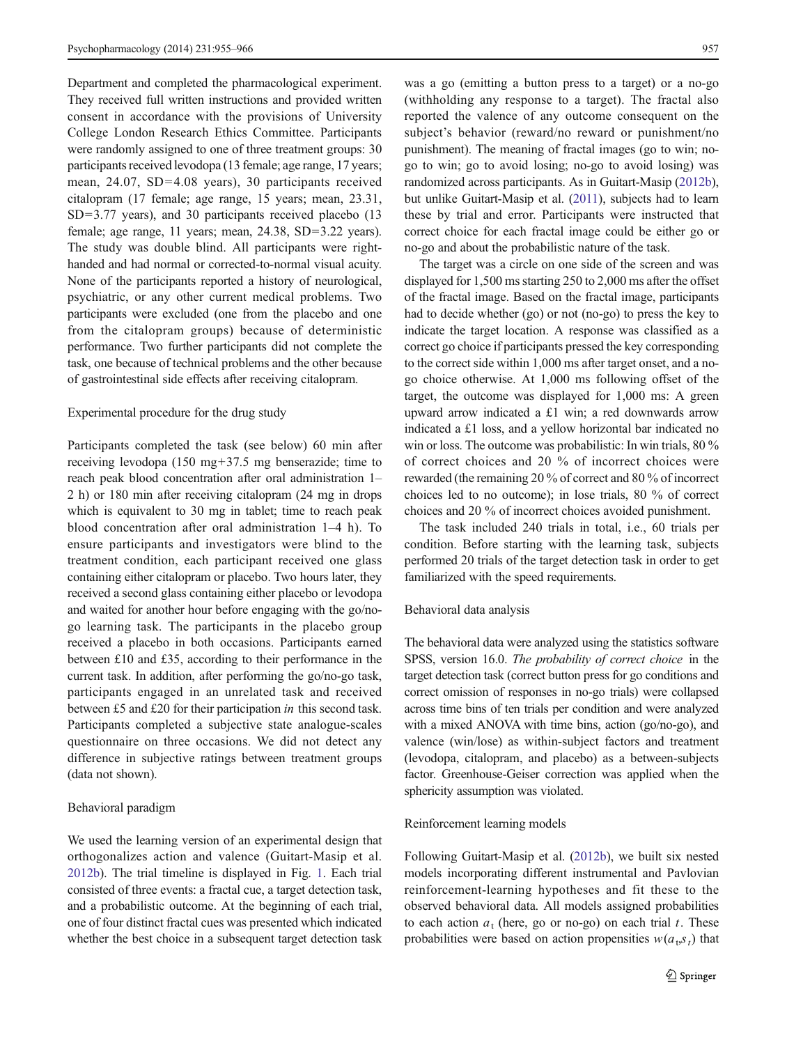Department and completed the pharmacological experiment. They received full written instructions and provided written consent in accordance with the provisions of University College London Research Ethics Committee. Participants were randomly assigned to one of three treatment groups: 30 participants received levodopa (13 female; age range, 17 years; mean, 24.07, SD=4.08 years), 30 participants received citalopram (17 female; age range, 15 years; mean, 23.31, SD=3.77 years), and 30 participants received placebo (13 female; age range, 11 years; mean, 24.38, SD=3.22 years). The study was double blind. All participants were righthanded and had normal or corrected-to-normal visual acuity. None of the participants reported a history of neurological, psychiatric, or any other current medical problems. Two participants were excluded (one from the placebo and one from the citalopram groups) because of deterministic performance. Two further participants did not complete the task, one because of technical problems and the other because of gastrointestinal side effects after receiving citalopram.

#### Experimental procedure for the drug study

Participants completed the task (see below) 60 min after receiving levodopa (150 mg+37.5 mg benserazide; time to reach peak blood concentration after oral administration 1– 2 h) or 180 min after receiving citalopram (24 mg in drops which is equivalent to 30 mg in tablet; time to reach peak blood concentration after oral administration 1–4 h). To ensure participants and investigators were blind to the treatment condition, each participant received one glass containing either citalopram or placebo. Two hours later, they received a second glass containing either placebo or levodopa and waited for another hour before engaging with the go/nogo learning task. The participants in the placebo group received a placebo in both occasions. Participants earned between £10 and £35, according to their performance in the current task. In addition, after performing the go/no-go task, participants engaged in an unrelated task and received between £5 and £20 for their participation in this second task. Participants completed a subjective state analogue-scales questionnaire on three occasions. We did not detect any difference in subjective ratings between treatment groups (data not shown).

## Behavioral paradigm

We used the learning version of an experimental design that orthogonalizes action and valence (Guitart-Masip et al. [2012b](#page-10-0)). The trial timeline is displayed in Fig. [1](#page-3-0). Each trial consisted of three events: a fractal cue, a target detection task, and a probabilistic outcome. At the beginning of each trial, one of four distinct fractal cues was presented which indicated whether the best choice in a subsequent target detection task

was a go (emitting a button press to a target) or a no-go (withholding any response to a target). The fractal also reported the valence of any outcome consequent on the subject's behavior (reward/no reward or punishment/no punishment). The meaning of fractal images (go to win; nogo to win; go to avoid losing; no-go to avoid losing) was randomized across participants. As in Guitart-Masip [\(2012b\)](#page-10-0), but unlike Guitart-Masip et al. ([2011](#page-10-0)), subjects had to learn these by trial and error. Participants were instructed that correct choice for each fractal image could be either go or no-go and about the probabilistic nature of the task.

The target was a circle on one side of the screen and was displayed for 1,500 ms starting 250 to 2,000 ms after the offset of the fractal image. Based on the fractal image, participants had to decide whether (go) or not (no-go) to press the key to indicate the target location. A response was classified as a correct go choice if participants pressed the key corresponding to the correct side within 1,000 ms after target onset, and a nogo choice otherwise. At 1,000 ms following offset of the target, the outcome was displayed for 1,000 ms: A green upward arrow indicated a £1 win; a red downwards arrow indicated a £1 loss, and a yellow horizontal bar indicated no win or loss. The outcome was probabilistic: In win trials, 80 % of correct choices and 20 % of incorrect choices were rewarded (the remaining 20 % of correct and 80 % of incorrect choices led to no outcome); in lose trials, 80 % of correct choices and 20 % of incorrect choices avoided punishment.

The task included 240 trials in total, i.e., 60 trials per condition. Before starting with the learning task, subjects performed 20 trials of the target detection task in order to get familiarized with the speed requirements.

#### Behavioral data analysis

The behavioral data were analyzed using the statistics software SPSS, version 16.0. The probability of correct choice in the target detection task (correct button press for go conditions and correct omission of responses in no-go trials) were collapsed across time bins of ten trials per condition and were analyzed with a mixed ANOVA with time bins, action (go/no-go), and valence (win/lose) as within-subject factors and treatment (levodopa, citalopram, and placebo) as a between-subjects factor. Greenhouse-Geiser correction was applied when the sphericity assumption was violated.

#### Reinforcement learning models

Following Guitart-Masip et al. ([2012b](#page-10-0)), we built six nested models incorporating different instrumental and Pavlovian reinforcement-learning hypotheses and fit these to the observed behavioral data. All models assigned probabilities to each action  $a<sub>t</sub>$  (here, go or no-go) on each trial t. These probabilities were based on action propensities  $w(a_t, s_t)$  that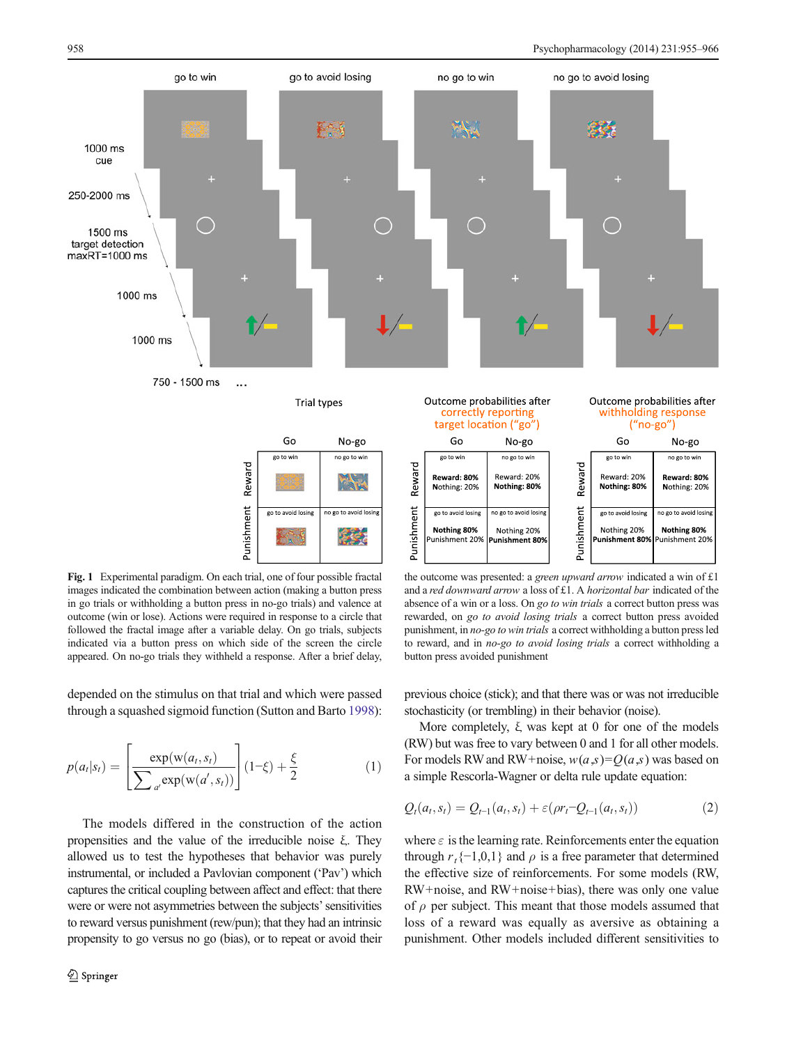<span id="page-3-0"></span>

Fig. 1 Experimental paradigm. On each trial, one of four possible fractal images indicated the combination between action (making a button press in go trials or withholding a button press in no-go trials) and valence at outcome (win or lose). Actions were required in response to a circle that followed the fractal image after a variable delay. On go trials, subjects indicated via a button press on which side of the screen the circle appeared. On no-go trials they withheld a response. After a brief delay,

depended on the stimulus on that trial and which were passed through a squashed sigmoid function (Sutton and Barto [1998](#page-10-0)):

$$
p(a_t|s_t) = \left[\frac{\exp(w(a_t, s_t))}{\sum_{a'} \exp(w(a', s_t))}\right](1-\xi) + \frac{\xi}{2}
$$
 (1)

The models differed in the construction of the action propensities and the value of the irreducible noise ξ. They allowed us to test the hypotheses that behavior was purely instrumental, or included a Pavlovian component ('Pav') which captures the critical coupling between affect and effect: that there were or were not asymmetries between the subjects' sensitivities to reward versus punishment (rew/pun); that they had an intrinsic propensity to go versus no go (bias), or to repeat or avoid their

the outcome was presented: a green upward arrow indicated a win of £1 and a red downward arrow a loss of £1. A horizontal bar indicated of the absence of a win or a loss. On go to win trials a correct button press was rewarded, on go to avoid losing trials a correct button press avoided punishment, in no-go to win trials a correct withholding a button press led to reward, and in no-go to avoid losing trials a correct withholding a button press avoided punishment

previous choice (stick); and that there was or was not irreducible stochasticity (or trembling) in their behavior (noise).

More completely,  $\xi$  was kept at 0 for one of the models (RW) but was free to vary between 0 and 1 for all other models. For models RW and RW+noise,  $w(a,s)=Q(a,s)$  was based on a simple Rescorla-Wagner or delta rule update equation:

$$
Q_t(a_t, s_t) = Q_{t-1}(a_t, s_t) + \varepsilon (\rho r_t - Q_{t-1}(a_t, s_t))
$$
\n(2)

where  $\varepsilon$  is the learning rate. Reinforcements enter the equation through  $r_t$ {−1,0,1} and  $\rho$  is a free parameter that determined the effective size of reinforcements. For some models (RW, RW+noise, and RW+noise+bias), there was only one value of  $\rho$  per subject. This meant that those models assumed that loss of a reward was equally as aversive as obtaining a punishment. Other models included different sensitivities to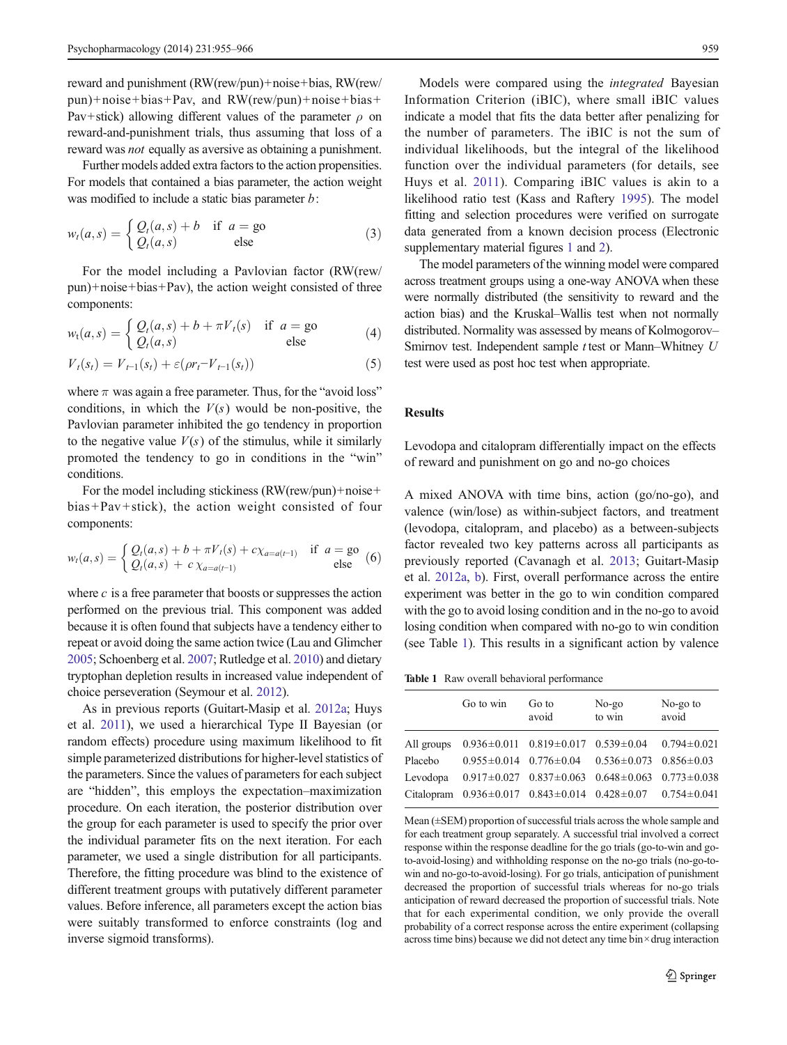reward and punishment (RW(rew/pun)+noise+bias, RW(rew/ pun)+ noise+bias+Pav, and RW(rew/pun)+ noise+ bias+ Pav+stick) allowing different values of the parameter  $\rho$  on reward-and-punishment trials, thus assuming that loss of a reward was not equally as aversive as obtaining a punishment.

Further models added extra factors to the action propensities. For models that contained a bias parameter, the action weight was modified to include a static bias parameter *b*:

$$
w_t(a,s) = \begin{cases} Q_t(a,s) + b & \text{if } a = \text{go} \\ Q_t(a,s) & \text{else} \end{cases}
$$
(3)

For the model including a Pavlovian factor (RW(rew/ pun)+noise+bias+Pav), the action weight consisted of three components:

$$
w_t(a,s) = \begin{cases} Q_t(a,s) + b + \pi V_t(s) & \text{if } a = \text{go} \\ Q_t(a,s) & \text{else} \end{cases}
$$
(4)

$$
V_t(s_t) = V_{t-1}(s_t) + \varepsilon(\rho r_t - V_{t-1}(s_t))
$$
\n(5)

where  $\pi$  was again a free parameter. Thus, for the "avoid loss" conditions, in which the  $V(s)$  would be non-positive, the Pavlovian parameter inhibited the go tendency in proportion to the negative value  $V(s)$  of the stimulus, while it similarly promoted the tendency to go in conditions in the "win" conditions.

For the model including stickiness (RW(rew/pun)+noise+ bias+Pav+stick), the action weight consisted of four components:

$$
w_t(a,s) = \begin{cases} Q_t(a,s) + b + \pi V_t(s) + c \chi_{a=a(t-1)} & \text{if } a = \text{go} \\ Q_t(a,s) + c \chi_{a=a(t-1)} & \text{else} \end{cases} (6)
$$

where  $c$  is a free parameter that boosts or suppresses the action performed on the previous trial. This component was added because it is often found that subjects have a tendency either to repeat or avoid doing the same action twice (Lau and Glimcher [2005](#page-10-0); Schoenberg et al. [2007](#page-10-0); Rutledge et al. [2010\)](#page-10-0) and dietary tryptophan depletion results in increased value independent of choice perseveration (Seymour et al. [2012\)](#page-10-0).

As in previous reports (Guitart-Masip et al. [2012a](#page-10-0); Huys et al. [2011\)](#page-10-0), we used a hierarchical Type II Bayesian (or random effects) procedure using maximum likelihood to fit simple parameterized distributions for higher-level statistics of the parameters. Since the values of parameters for each subject are "hidden", this employs the expectation–maximization procedure. On each iteration, the posterior distribution over the group for each parameter is used to specify the prior over the individual parameter fits on the next iteration. For each parameter, we used a single distribution for all participants. Therefore, the fitting procedure was blind to the existence of different treatment groups with putatively different parameter values. Before inference, all parameters except the action bias were suitably transformed to enforce constraints (log and inverse sigmoid transforms).

Models were compared using the integrated Bayesian Information Criterion (iBIC), where small iBIC values indicate a model that fits the data better after penalizing for the number of parameters. The iBIC is not the sum of individual likelihoods, but the integral of the likelihood function over the individual parameters (for details, see Huys et al. [2011\)](#page-10-0). Comparing iBIC values is akin to a likelihood ratio test (Kass and Raftery [1995\)](#page-10-0). The model fitting and selection procedures were verified on surrogate data generated from a known decision process (Electronic supplementary material figures 1 and 2).

The model parameters of the winning model were compared across treatment groups using a one-way ANOVA when these were normally distributed (the sensitivity to reward and the action bias) and the Kruskal–Wallis test when not normally distributed. Normality was assessed by means of Kolmogorov– Smirnov test. Independent sample t test or Mann–Whitney U test were used as post hoc test when appropriate.

### Results

Levodopa and citalopram differentially impact on the effects of reward and punishment on go and no-go choices

A mixed ANOVA with time bins, action (go/no-go), and valence (win/lose) as within-subject factors, and treatment (levodopa, citalopram, and placebo) as a between-subjects factor revealed two key patterns across all participants as previously reported (Cavanagh et al. [2013](#page-9-0); Guitart-Masip et al. [2012a](#page-10-0), [b](#page-10-0)). First, overall performance across the entire experiment was better in the go to win condition compared with the go to avoid losing condition and in the no-go to avoid losing condition when compared with no-go to win condition (see Table 1). This results in a significant action by valence

Table 1 Raw overall behavioral performance

|            | Go to win | Go to<br>avoid                                                          | $No-go$<br>to win | No-go to<br>avoid |
|------------|-----------|-------------------------------------------------------------------------|-------------------|-------------------|
| All groups |           | $0.936 \pm 0.011$ $0.819 \pm 0.017$ $0.539 \pm 0.04$                    |                   | $0.794 \pm 0.021$ |
| Placebo    |           | $0.955 \pm 0.014$ $0.776 \pm 0.04$ $0.536 \pm 0.073$ $0.856 \pm 0.03$   |                   |                   |
| Levodopa   |           | $0.917 \pm 0.027$ $0.837 \pm 0.063$ $0.648 \pm 0.063$ $0.773 \pm 0.038$ |                   |                   |
|            |           | Citalopram $0.936 \pm 0.017$ $0.843 \pm 0.014$ $0.428 \pm 0.07$         |                   | $0.754 \pm 0.041$ |

Mean (±SEM) proportion of successful trials across the whole sample and for each treatment group separately. A successful trial involved a correct response within the response deadline for the go trials (go-to-win and goto-avoid-losing) and withholding response on the no-go trials (no-go-towin and no-go-to-avoid-losing). For go trials, anticipation of punishment decreased the proportion of successful trials whereas for no-go trials anticipation of reward decreased the proportion of successful trials. Note that for each experimental condition, we only provide the overall probability of a correct response across the entire experiment (collapsing across time bins) because we did not detect any time bin×drug interaction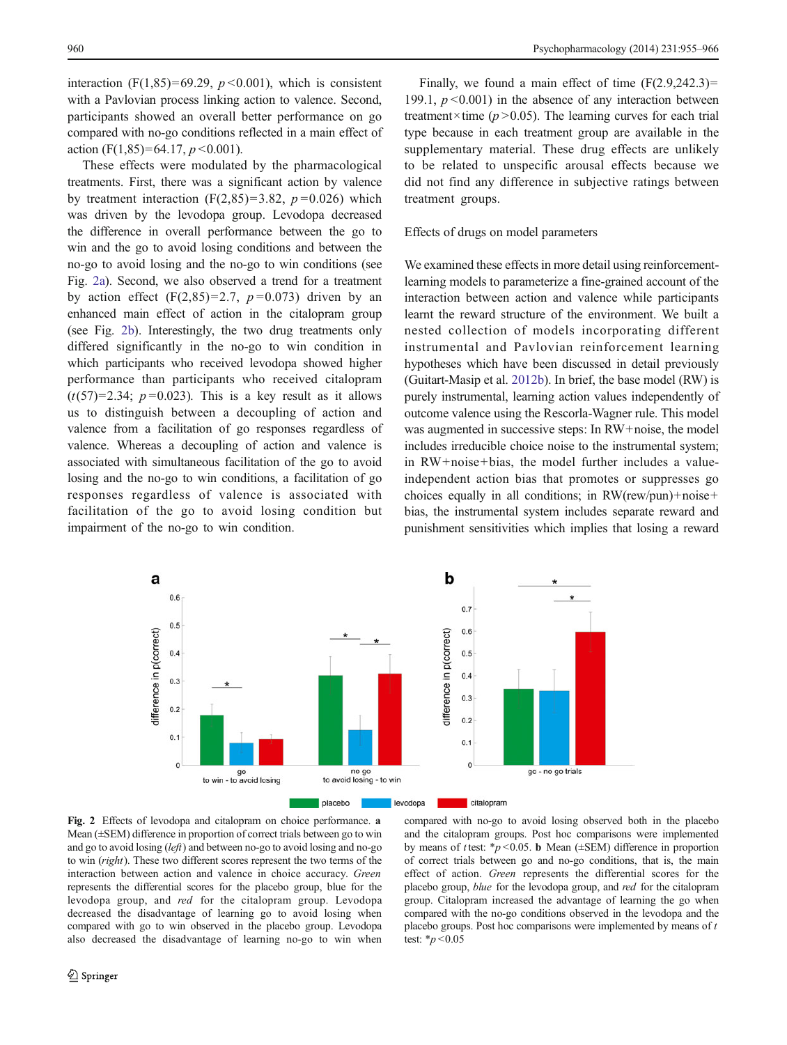interaction  $(F(1,85)=69.29, p<0.001)$ , which is consistent with a Pavlovian process linking action to valence. Second, participants showed an overall better performance on go compared with no-go conditions reflected in a main effect of action (F(1,85)=64.17,  $p < 0.001$ ).

These effects were modulated by the pharmacological treatments. First, there was a significant action by valence by treatment interaction (F(2,85)=3.82,  $p=0.026$ ) which was driven by the levodopa group. Levodopa decreased the difference in overall performance between the go to win and the go to avoid losing conditions and between the no-go to avoid losing and the no-go to win conditions (see Fig. 2a). Second, we also observed a trend for a treatment by action effect  $(F(2,85)=2.7, p=0.073)$  driven by an enhanced main effect of action in the citalopram group (see Fig. 2b). Interestingly, the two drug treatments only differed significantly in the no-go to win condition in which participants who received levodopa showed higher performance than participants who received citalopram  $(t(57)=2.34; p=0.023)$ . This is a key result as it allows us to distinguish between a decoupling of action and valence from a facilitation of go responses regardless of valence. Whereas a decoupling of action and valence is associated with simultaneous facilitation of the go to avoid losing and the no-go to win conditions, a facilitation of go responses regardless of valence is associated with facilitation of the go to avoid losing condition but impairment of the no-go to win condition.

Finally, we found a main effect of time  $(F(2.9, 242.3))$ = 199.1,  $p < 0.001$ ) in the absence of any interaction between treatment×time ( $p > 0.05$ ). The learning curves for each trial type because in each treatment group are available in the supplementary material. These drug effects are unlikely to be related to unspecific arousal effects because we did not find any difference in subjective ratings between treatment groups.

Effects of drugs on model parameters

We examined these effects in more detail using reinforcementlearning models to parameterize a fine-grained account of the interaction between action and valence while participants learnt the reward structure of the environment. We built a nested collection of models incorporating different instrumental and Pavlovian reinforcement learning hypotheses which have been discussed in detail previously (Guitart-Masip et al. [2012b\)](#page-10-0). In brief, the base model (RW) is purely instrumental, learning action values independently of outcome valence using the Rescorla-Wagner rule. This model was augmented in successive steps: In RW+noise, the model includes irreducible choice noise to the instrumental system; in RW+noise+bias, the model further includes a valueindependent action bias that promotes or suppresses go choices equally in all conditions; in RW(rew/pun)+noise+ bias, the instrumental system includes separate reward and punishment sensitivities which implies that losing a reward





compared with no-go to avoid losing observed both in the placebo and the citalopram groups. Post hoc comparisons were implemented by means of *t* test: \*p < 0.05. **b** Mean ( $\pm$ SEM) difference in proportion of correct trials between go and no-go conditions, that is, the main effect of action. Green represents the differential scores for the placebo group, blue for the levodopa group, and red for the citalopram group. Citalopram increased the advantage of learning the go when compared with the no-go conditions observed in the levodopa and the placebo groups. Post hoc comparisons were implemented by means of  $t$ test:  $*_{p}$  < 0.05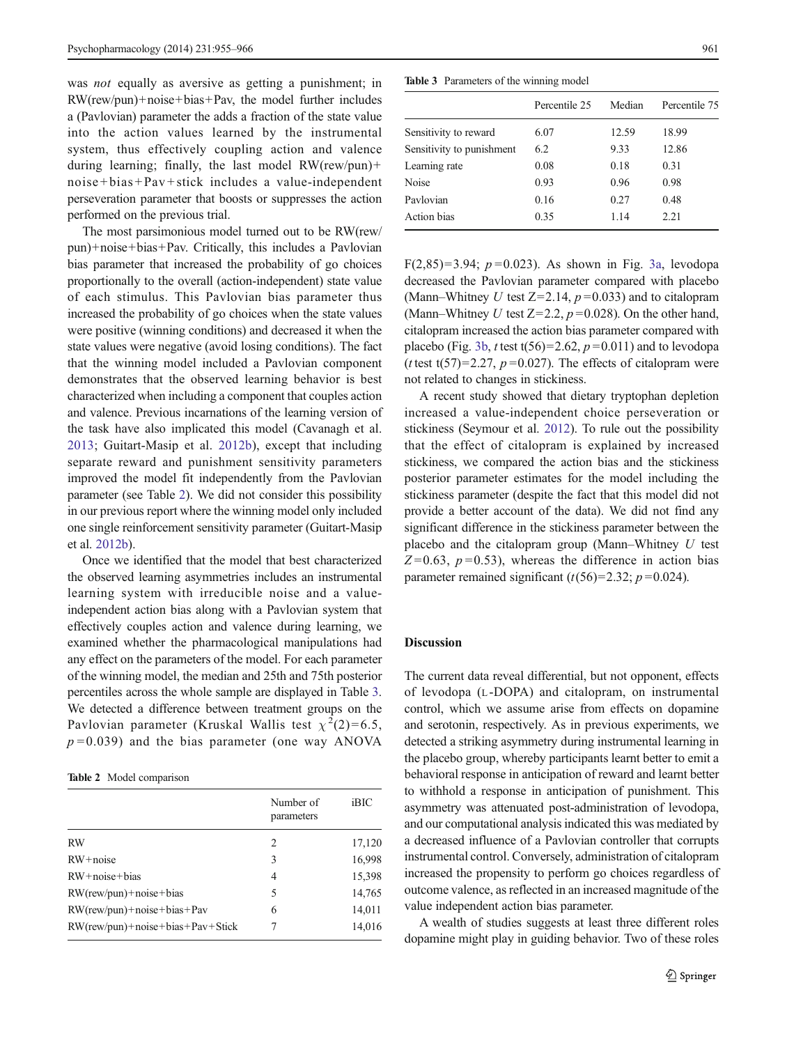was *not* equally as aversive as getting a punishment; in RW(rew/pun)+noise+bias+Pav, the model further includes a (Pavlovian) parameter the adds a fraction of the state value into the action values learned by the instrumental system, thus effectively coupling action and valence during learning; finally, the last model RW(rew/pun)+ noise+ bias+Pav+ stick includes a value-independent perseveration parameter that boosts or suppresses the action performed on the previous trial.

The most parsimonious model turned out to be RW(rew/ pun)+noise+bias+Pav. Critically, this includes a Pavlovian bias parameter that increased the probability of go choices proportionally to the overall (action-independent) state value of each stimulus. This Pavlovian bias parameter thus increased the probability of go choices when the state values were positive (winning conditions) and decreased it when the state values were negative (avoid losing conditions). The fact that the winning model included a Pavlovian component demonstrates that the observed learning behavior is best characterized when including a component that couples action and valence. Previous incarnations of the learning version of the task have also implicated this model (Cavanagh et al. [2013](#page-9-0); Guitart-Masip et al. [2012b\)](#page-10-0), except that including separate reward and punishment sensitivity parameters improved the model fit independently from the Pavlovian parameter (see Table 2). We did not consider this possibility in our previous report where the winning model only included one single reinforcement sensitivity parameter (Guitart-Masip et al. [2012b](#page-10-0)).

Once we identified that the model that best characterized the observed learning asymmetries includes an instrumental learning system with irreducible noise and a valueindependent action bias along with a Pavlovian system that effectively couples action and valence during learning, we examined whether the pharmacological manipulations had any effect on the parameters of the model. For each parameter of the winning model, the median and 25th and 75th posterior percentiles across the whole sample are displayed in Table 3. We detected a difference between treatment groups on the Pavlovian parameter (Kruskal Wallis test  $\chi^2(2)=6.5$ ,  $p = 0.039$ ) and the bias parameter (one way ANOVA

Table 2 Model comparison

|                                          | Number of<br>parameters | iBIC   |
|------------------------------------------|-------------------------|--------|
| <b>RW</b>                                | 2                       | 17,120 |
| $RW + noise$                             | 3                       | 16,998 |
| $RW + noise + bias$                      | 4                       | 15,398 |
| $RW$ (rew/pun) + noise + bias            | 5                       | 14,765 |
| $RW(rew/pun)+noise + bias + Pav$         | 6                       | 14,011 |
| $RW(rew/pun)+noise + bias + Pav + Stick$ |                         | 14,016 |

Table 3 Parameters of the winning model

|                           | Percentile 25 | Median | Percentile 75 |
|---------------------------|---------------|--------|---------------|
| Sensitivity to reward     | 6.07          | 12.59  | 18.99         |
| Sensitivity to punishment | 6.2           | 9.33   | 12.86         |
| Learning rate             | 0.08          | 0.18   | 0.31          |
| Noise                     | 0.93          | 0.96   | 0.98          |
| Paylovian                 | 0.16          | 0.27   | 0.48          |
| Action bias               | 0.35          | 1.14   | 2.21          |
|                           |               |        |               |

F(2,85)=3.94;  $p = 0.023$ ). As shown in Fig. [3a,](#page-7-0) levodopa decreased the Pavlovian parameter compared with placebo (Mann–Whitney U test  $Z=2.14$ ,  $p=0.033$ ) and to citalopram (Mann–Whitney U test  $Z=2.2$ ,  $p=0.028$ ). On the other hand, citalopram increased the action bias parameter compared with placebo (Fig. [3b](#page-7-0), t test t(56)=2.62,  $p = 0.011$ ) and to levodopa (*t* test t(57)=2.27,  $p = 0.027$ ). The effects of citalopram were not related to changes in stickiness.

A recent study showed that dietary tryptophan depletion increased a value-independent choice perseveration or stickiness (Seymour et al. [2012\)](#page-10-0). To rule out the possibility that the effect of citalopram is explained by increased stickiness, we compared the action bias and the stickiness posterior parameter estimates for the model including the stickiness parameter (despite the fact that this model did not provide a better account of the data). We did not find any significant difference in the stickiness parameter between the placebo and the citalopram group (Mann–Whitney  $U$  test  $Z=0.63$ ,  $p=0.53$ ), whereas the difference in action bias parameter remained significant  $(t(56)=2.32; p=0.024)$ .

# Discussion

The current data reveal differential, but not opponent, effects of levodopa (L -DOPA) and citalopram, on instrumental control, which we assume arise from effects on dopamine and serotonin, respectively. As in previous experiments, we detected a striking asymmetry during instrumental learning in the placebo group, whereby participants learnt better to emit a behavioral response in anticipation of reward and learnt better to withhold a response in anticipation of punishment. This asymmetry was attenuated post-administration of levodopa, and our computational analysis indicated this was mediated by a decreased influence of a Pavlovian controller that corrupts instrumental control. Conversely, administration of citalopram increased the propensity to perform go choices regardless of outcome valence, as reflected in an increased magnitude of the value independent action bias parameter.

A wealth of studies suggests at least three different roles dopamine might play in guiding behavior. Two of these roles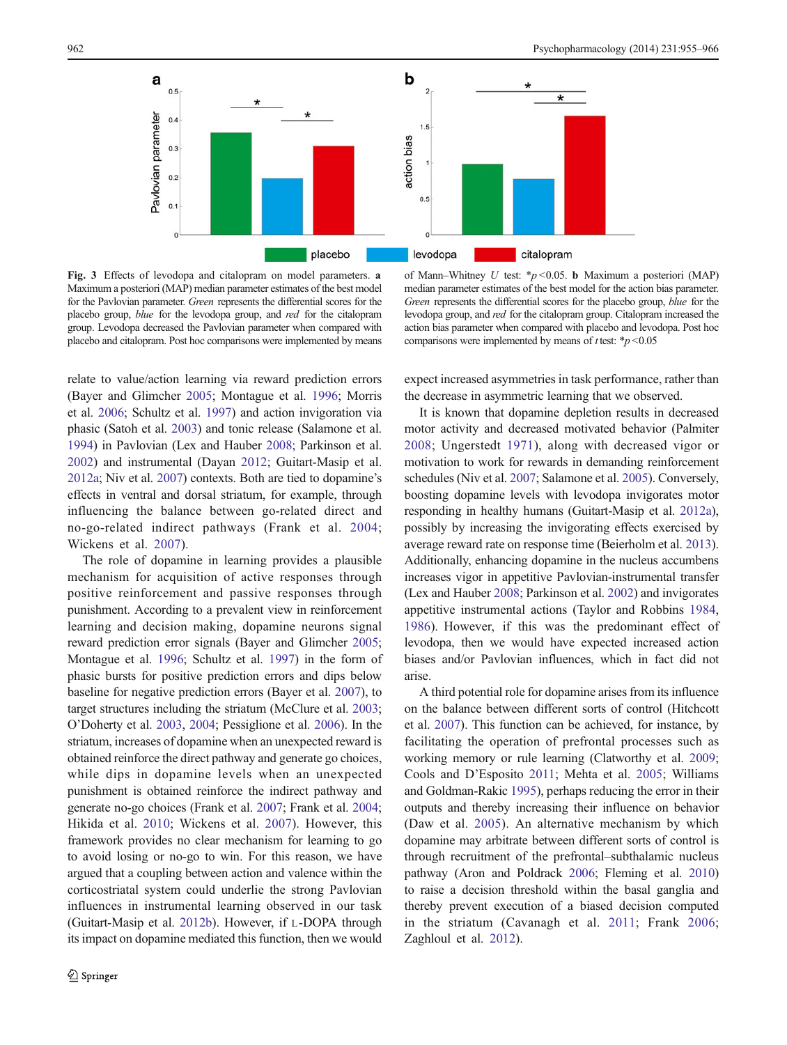<span id="page-7-0"></span>

Fig. 3 Effects of levodopa and citalopram on model parameters. a Maximum a posteriori (MAP) median parameter estimates of the best model for the Pavlovian parameter. Green represents the differential scores for the placebo group, blue for the levodopa group, and red for the citalopram group. Levodopa decreased the Pavlovian parameter when compared with placebo and citalopram. Post hoc comparisons were implemented by means

of Mann–Whitney U test:  $\frac{*p}{0.05}$ . **b** Maximum a posteriori (MAP) median parameter estimates of the best model for the action bias parameter. Green represents the differential scores for the placebo group, blue for the levodopa group, and red for the citalopram group. Citalopram increased the action bias parameter when compared with placebo and levodopa. Post hoc comparisons were implemented by means of t test:  $\frac{*p}{0.05}$ 

relate to value/action learning via reward prediction errors (Bayer and Glimcher [2005;](#page-9-0) Montague et al. [1996;](#page-10-0) Morris et al. [2006;](#page-10-0) Schultz et al. [1997](#page-10-0)) and action invigoration via phasic (Satoh et al. [2003](#page-10-0)) and tonic release (Salamone et al. [1994\)](#page-10-0) in Pavlovian (Lex and Hauber [2008](#page-10-0); Parkinson et al. [2002\)](#page-10-0) and instrumental (Dayan [2012](#page-9-0); Guitart-Masip et al. [2012a;](#page-10-0) Niv et al. [2007](#page-10-0)) contexts. Both are tied to dopamine's effects in ventral and dorsal striatum, for example, through influencing the balance between go-related direct and no-go-related indirect pathways (Frank et al. [2004](#page-9-0); Wickens et al. [2007\)](#page-11-0).

The role of dopamine in learning provides a plausible mechanism for acquisition of active responses through positive reinforcement and passive responses through punishment. According to a prevalent view in reinforcement learning and decision making, dopamine neurons signal reward prediction error signals (Bayer and Glimcher [2005](#page-9-0); Montague et al. [1996;](#page-10-0) Schultz et al. [1997](#page-10-0)) in the form of phasic bursts for positive prediction errors and dips below baseline for negative prediction errors (Bayer et al. [2007](#page-9-0)), to target structures including the striatum (McClure et al. [2003](#page-10-0); O'Doherty et al. [2003,](#page-10-0) [2004;](#page-10-0) Pessiglione et al. [2006\)](#page-10-0). In the striatum, increases of dopamine when an unexpected reward is obtained reinforce the direct pathway and generate go choices, while dips in dopamine levels when an unexpected punishment is obtained reinforce the indirect pathway and generate no-go choices (Frank et al. [2007;](#page-10-0) Frank et al. [2004](#page-9-0); Hikida et al. [2010;](#page-10-0) Wickens et al. [2007](#page-11-0)). However, this framework provides no clear mechanism for learning to go to avoid losing or no-go to win. For this reason, we have argued that a coupling between action and valence within the corticostriatal system could underlie the strong Pavlovian influences in instrumental learning observed in our task (Guitart-Masip et al. [2012b\)](#page-10-0). However, if L-DOPA through its impact on dopamine mediated this function, then we would

expect increased asymmetries in task performance, rather than the decrease in asymmetric learning that we observed.

It is known that dopamine depletion results in decreased motor activity and decreased motivated behavior (Palmiter [2008;](#page-10-0) Ungerstedt [1971](#page-11-0)), along with decreased vigor or motivation to work for rewards in demanding reinforcement schedules (Niv et al. [2007;](#page-10-0) Salamone et al. [2005\)](#page-10-0). Conversely, boosting dopamine levels with levodopa invigorates motor responding in healthy humans (Guitart-Masip et al. [2012a\)](#page-10-0), possibly by increasing the invigorating effects exercised by average reward rate on response time (Beierholm et al. [2013\)](#page-9-0). Additionally, enhancing dopamine in the nucleus accumbens increases vigor in appetitive Pavlovian-instrumental transfer (Lex and Hauber [2008](#page-10-0); Parkinson et al. [2002\)](#page-10-0) and invigorates appetitive instrumental actions (Taylor and Robbins [1984,](#page-10-0) [1986](#page-11-0)). However, if this was the predominant effect of levodopa, then we would have expected increased action biases and/or Pavlovian influences, which in fact did not arise.

A third potential role for dopamine arises from its influence on the balance between different sorts of control (Hitchcott et al. [2007](#page-10-0)). This function can be achieved, for instance, by facilitating the operation of prefrontal processes such as working memory or rule learning (Clatworthy et al. [2009;](#page-9-0) Cools and D'Esposito [2011](#page-9-0); Mehta et al. [2005;](#page-10-0) Williams and Goldman-Rakic [1995](#page-11-0)), perhaps reducing the error in their outputs and thereby increasing their influence on behavior (Daw et al. [2005\)](#page-9-0). An alternative mechanism by which dopamine may arbitrate between different sorts of control is through recruitment of the prefrontal–subthalamic nucleus pathway (Aron and Poldrack [2006](#page-9-0); Fleming et al. [2010](#page-9-0)) to raise a decision threshold within the basal ganglia and thereby prevent execution of a biased decision computed in the striatum (Cavanagh et al. [2011](#page-9-0); Frank [2006;](#page-9-0) Zaghloul et al. [2012](#page-11-0)).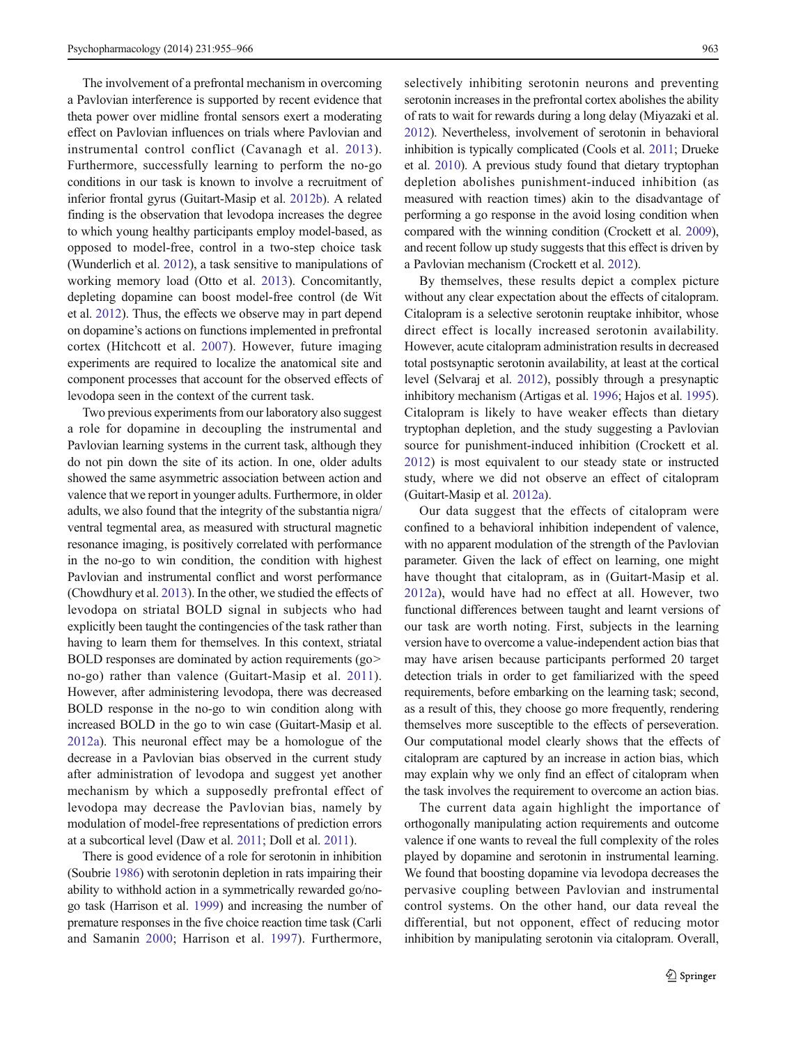The involvement of a prefrontal mechanism in overcoming a Pavlovian interference is supported by recent evidence that theta power over midline frontal sensors exert a moderating effect on Pavlovian influences on trials where Pavlovian and instrumental control conflict (Cavanagh et al. [2013](#page-9-0)). Furthermore, successfully learning to perform the no-go conditions in our task is known to involve a recruitment of inferior frontal gyrus (Guitart-Masip et al. [2012b](#page-10-0)). A related finding is the observation that levodopa increases the degree to which young healthy participants employ model-based, as opposed to model-free, control in a two-step choice task (Wunderlich et al. [2012](#page-11-0)), a task sensitive to manipulations of working memory load (Otto et al. [2013](#page-10-0)). Concomitantly, depleting dopamine can boost model-free control (de Wit et al. [2012](#page-9-0)). Thus, the effects we observe may in part depend on dopamine's actions on functions implemented in prefrontal cortex (Hitchcott et al. [2007\)](#page-10-0). However, future imaging experiments are required to localize the anatomical site and component processes that account for the observed effects of levodopa seen in the context of the current task.

Two previous experiments from our laboratory also suggest a role for dopamine in decoupling the instrumental and Pavlovian learning systems in the current task, although they do not pin down the site of its action. In one, older adults showed the same asymmetric association between action and valence that we report in younger adults. Furthermore, in older adults, we also found that the integrity of the substantia nigra/ ventral tegmental area, as measured with structural magnetic resonance imaging, is positively correlated with performance in the no-go to win condition, the condition with highest Pavlovian and instrumental conflict and worst performance (Chowdhury et al. [2013\)](#page-9-0). In the other, we studied the effects of levodopa on striatal BOLD signal in subjects who had explicitly been taught the contingencies of the task rather than having to learn them for themselves. In this context, striatal BOLD responses are dominated by action requirements (go> no-go) rather than valence (Guitart-Masip et al. [2011](#page-10-0)). However, after administering levodopa, there was decreased BOLD response in the no-go to win condition along with increased BOLD in the go to win case (Guitart-Masip et al. [2012a](#page-10-0)). This neuronal effect may be a homologue of the decrease in a Pavlovian bias observed in the current study after administration of levodopa and suggest yet another mechanism by which a supposedly prefrontal effect of levodopa may decrease the Pavlovian bias, namely by modulation of model-free representations of prediction errors at a subcortical level (Daw et al. [2011;](#page-9-0) Doll et al. [2011\)](#page-9-0).

There is good evidence of a role for serotonin in inhibition (Soubrie [1986\)](#page-10-0) with serotonin depletion in rats impairing their ability to withhold action in a symmetrically rewarded go/nogo task (Harrison et al. [1999\)](#page-10-0) and increasing the number of premature responses in the five choice reaction time task (Carli and Samanin [2000;](#page-9-0) Harrison et al. [1997](#page-10-0)). Furthermore,

selectively inhibiting serotonin neurons and preventing serotonin increases in the prefrontal cortex abolishes the ability of rats to wait for rewards during a long delay (Miyazaki et al. [2012\)](#page-10-0). Nevertheless, involvement of serotonin in behavioral inhibition is typically complicated (Cools et al. [2011](#page-9-0); Drueke et al. [2010\)](#page-9-0). A previous study found that dietary tryptophan depletion abolishes punishment-induced inhibition (as measured with reaction times) akin to the disadvantage of performing a go response in the avoid losing condition when compared with the winning condition (Crockett et al. [2009\)](#page-9-0), and recent follow up study suggests that this effect is driven by a Pavlovian mechanism (Crockett et al. [2012\)](#page-9-0).

By themselves, these results depict a complex picture without any clear expectation about the effects of citalopram. Citalopram is a selective serotonin reuptake inhibitor, whose direct effect is locally increased serotonin availability. However, acute citalopram administration results in decreased total postsynaptic serotonin availability, at least at the cortical level (Selvaraj et al. [2012](#page-10-0)), possibly through a presynaptic inhibitory mechanism (Artigas et al. [1996;](#page-9-0) Hajos et al. [1995\)](#page-10-0). Citalopram is likely to have weaker effects than dietary tryptophan depletion, and the study suggesting a Pavlovian source for punishment-induced inhibition (Crockett et al. [2012\)](#page-9-0) is most equivalent to our steady state or instructed study, where we did not observe an effect of citalopram (Guitart-Masip et al. [2012a\)](#page-10-0).

Our data suggest that the effects of citalopram were confined to a behavioral inhibition independent of valence, with no apparent modulation of the strength of the Pavlovian parameter. Given the lack of effect on learning, one might have thought that citalopram, as in (Guitart-Masip et al. [2012a](#page-10-0)), would have had no effect at all. However, two functional differences between taught and learnt versions of our task are worth noting. First, subjects in the learning version have to overcome a value-independent action bias that may have arisen because participants performed 20 target detection trials in order to get familiarized with the speed requirements, before embarking on the learning task; second, as a result of this, they choose go more frequently, rendering themselves more susceptible to the effects of perseveration. Our computational model clearly shows that the effects of citalopram are captured by an increase in action bias, which may explain why we only find an effect of citalopram when the task involves the requirement to overcome an action bias.

The current data again highlight the importance of orthogonally manipulating action requirements and outcome valence if one wants to reveal the full complexity of the roles played by dopamine and serotonin in instrumental learning. We found that boosting dopamine via levodopa decreases the pervasive coupling between Pavlovian and instrumental control systems. On the other hand, our data reveal the differential, but not opponent, effect of reducing motor inhibition by manipulating serotonin via citalopram. Overall,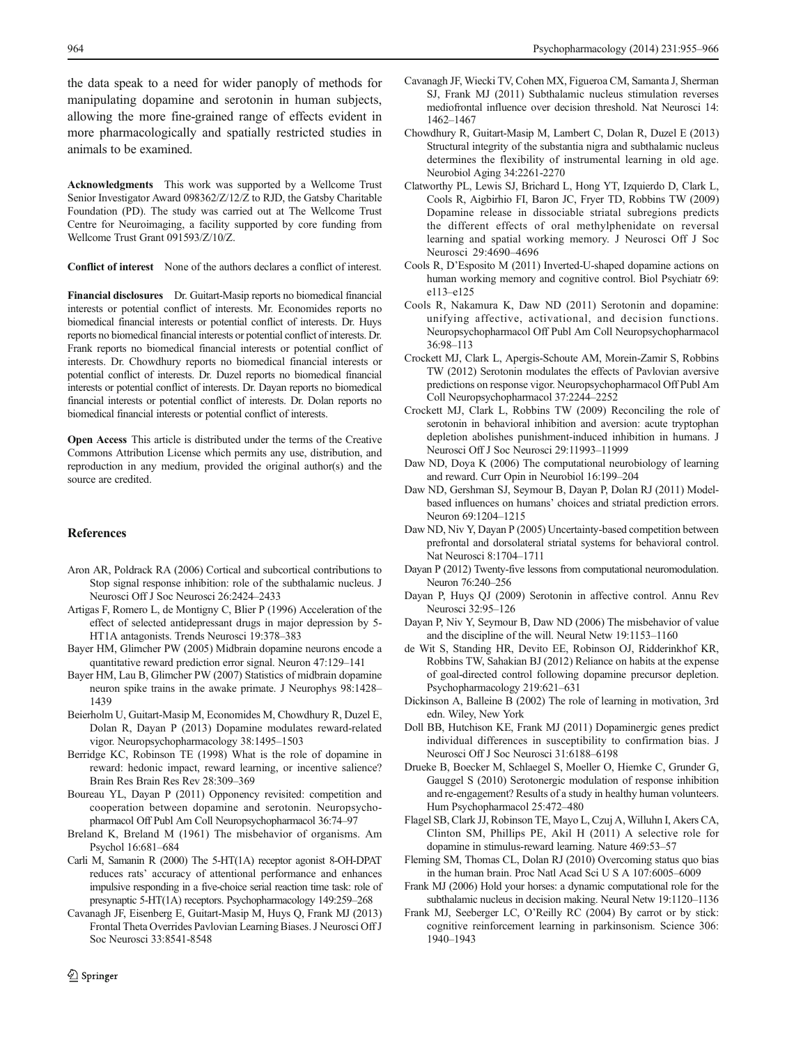<span id="page-9-0"></span>the data speak to a need for wider panoply of methods for manipulating dopamine and serotonin in human subjects, allowing the more fine-grained range of effects evident in more pharmacologically and spatially restricted studies in animals to be examined.

Acknowledgments This work was supported by a Wellcome Trust Senior Investigator Award 098362/Z/12/Z to RJD, the Gatsby Charitable Foundation (PD). The study was carried out at The Wellcome Trust Centre for Neuroimaging, a facility supported by core funding from Wellcome Trust Grant 091593/Z/10/Z.

Conflict of interest None of the authors declares a conflict of interest.

Financial disclosures Dr. Guitart-Masip reports no biomedical financial interests or potential conflict of interests. Mr. Economides reports no biomedical financial interests or potential conflict of interests. Dr. Huys reports no biomedical financial interests or potential conflict of interests. Dr. Frank reports no biomedical financial interests or potential conflict of interests. Dr. Chowdhury reports no biomedical financial interests or potential conflict of interests. Dr. Duzel reports no biomedical financial interests or potential conflict of interests. Dr. Dayan reports no biomedical financial interests or potential conflict of interests. Dr. Dolan reports no biomedical financial interests or potential conflict of interests.

Open Access This article is distributed under the terms of the Creative Commons Attribution License which permits any use, distribution, and reproduction in any medium, provided the original author(s) and the source are credited.

#### **References**

- Aron AR, Poldrack RA (2006) Cortical and subcortical contributions to Stop signal response inhibition: role of the subthalamic nucleus. J Neurosci Off J Soc Neurosci 26:2424–2433
- Artigas F, Romero L, de Montigny C, Blier P (1996) Acceleration of the effect of selected antidepressant drugs in major depression by 5- HT1A antagonists. Trends Neurosci 19:378–383
- Bayer HM, Glimcher PW (2005) Midbrain dopamine neurons encode a quantitative reward prediction error signal. Neuron 47:129–141
- Bayer HM, Lau B, Glimcher PW (2007) Statistics of midbrain dopamine neuron spike trains in the awake primate. J Neurophys 98:1428– 1439
- Beierholm U, Guitart-Masip M, Economides M, Chowdhury R, Duzel E, Dolan R, Dayan P (2013) Dopamine modulates reward-related vigor. Neuropsychopharmacology 38:1495–1503
- Berridge KC, Robinson TE (1998) What is the role of dopamine in reward: hedonic impact, reward learning, or incentive salience? Brain Res Brain Res Rev 28:309–369
- Boureau YL, Dayan P (2011) Opponency revisited: competition and cooperation between dopamine and serotonin. Neuropsychopharmacol Off Publ Am Coll Neuropsychopharmacol 36:74–97
- Breland K, Breland M (1961) The misbehavior of organisms. Am Psychol 16:681–684
- Carli M, Samanin R (2000) The 5-HT(1A) receptor agonist 8-OH-DPAT reduces rats' accuracy of attentional performance and enhances impulsive responding in a five-choice serial reaction time task: role of presynaptic 5-HT(1A) receptors. Psychopharmacology 149:259–268
- Cavanagh JF, Eisenberg E, Guitart-Masip M, Huys Q, Frank MJ (2013) Frontal Theta Overrides Pavlovian Learning Biases. J Neurosci Off J Soc Neurosci 33:8541-8548
- Cavanagh JF, Wiecki TV, Cohen MX, Figueroa CM, Samanta J, Sherman SJ, Frank MJ (2011) Subthalamic nucleus stimulation reverses mediofrontal influence over decision threshold. Nat Neurosci 14: 1462–1467
- Chowdhury R, Guitart-Masip M, Lambert C, Dolan R, Duzel E (2013) Structural integrity of the substantia nigra and subthalamic nucleus determines the flexibility of instrumental learning in old age. Neurobiol Aging 34:2261-2270
- Clatworthy PL, Lewis SJ, Brichard L, Hong YT, Izquierdo D, Clark L, Cools R, Aigbirhio FI, Baron JC, Fryer TD, Robbins TW (2009) Dopamine release in dissociable striatal subregions predicts the different effects of oral methylphenidate on reversal learning and spatial working memory. J Neurosci Off J Soc Neurosci 29:4690–4696
- Cools R, D'Esposito M (2011) Inverted-U-shaped dopamine actions on human working memory and cognitive control. Biol Psychiatr 69: e113–e125
- Cools R, Nakamura K, Daw ND (2011) Serotonin and dopamine: unifying affective, activational, and decision functions. Neuropsychopharmacol Off Publ Am Coll Neuropsychopharmacol 36:98–113
- Crockett MJ, Clark L, Apergis-Schoute AM, Morein-Zamir S, Robbins TW (2012) Serotonin modulates the effects of Pavlovian aversive predictions on response vigor. Neuropsychopharmacol Off Publ Am Coll Neuropsychopharmacol 37:2244–2252
- Crockett MJ, Clark L, Robbins TW (2009) Reconciling the role of serotonin in behavioral inhibition and aversion: acute tryptophan depletion abolishes punishment-induced inhibition in humans. J Neurosci Off J Soc Neurosci 29:11993–11999
- Daw ND, Doya K (2006) The computational neurobiology of learning and reward. Curr Opin in Neurobiol 16:199–204
- Daw ND, Gershman SJ, Seymour B, Dayan P, Dolan RJ (2011) Modelbased influences on humans' choices and striatal prediction errors. Neuron 69:1204–1215
- Daw ND, Niv Y, Dayan P (2005) Uncertainty-based competition between prefrontal and dorsolateral striatal systems for behavioral control. Nat Neurosci 8:1704–1711
- Dayan P (2012) Twenty-five lessons from computational neuromodulation. Neuron 76:240–256
- Dayan P, Huys QJ (2009) Serotonin in affective control. Annu Rev Neurosci 32:95–126
- Dayan P, Niv Y, Seymour B, Daw ND (2006) The misbehavior of value and the discipline of the will. Neural Netw 19:1153–1160
- de Wit S, Standing HR, Devito EE, Robinson OJ, Ridderinkhof KR, Robbins TW, Sahakian BJ (2012) Reliance on habits at the expense of goal-directed control following dopamine precursor depletion. Psychopharmacology 219:621–631
- Dickinson A, Balleine B (2002) The role of learning in motivation, 3rd edn. Wiley, New York
- Doll BB, Hutchison KE, Frank MJ (2011) Dopaminergic genes predict individual differences in susceptibility to confirmation bias. J Neurosci Off J Soc Neurosci 31:6188–6198
- Drueke B, Boecker M, Schlaegel S, Moeller O, Hiemke C, Grunder G, Gauggel S (2010) Serotonergic modulation of response inhibition and re-engagement? Results of a study in healthy human volunteers. Hum Psychopharmacol 25:472–480
- Flagel SB, Clark JJ, Robinson TE, Mayo L, Czuj A, Willuhn I, Akers CA, Clinton SM, Phillips PE, Akil H (2011) A selective role for dopamine in stimulus-reward learning. Nature 469:53–57
- Fleming SM, Thomas CL, Dolan RJ (2010) Overcoming status quo bias in the human brain. Proc Natl Acad Sci U S A 107:6005–6009
- Frank MJ (2006) Hold your horses: a dynamic computational role for the subthalamic nucleus in decision making. Neural Netw 19:1120–1136
- Frank MJ, Seeberger LC, O'Reilly RC (2004) By carrot or by stick: cognitive reinforcement learning in parkinsonism. Science 306: 1940–1943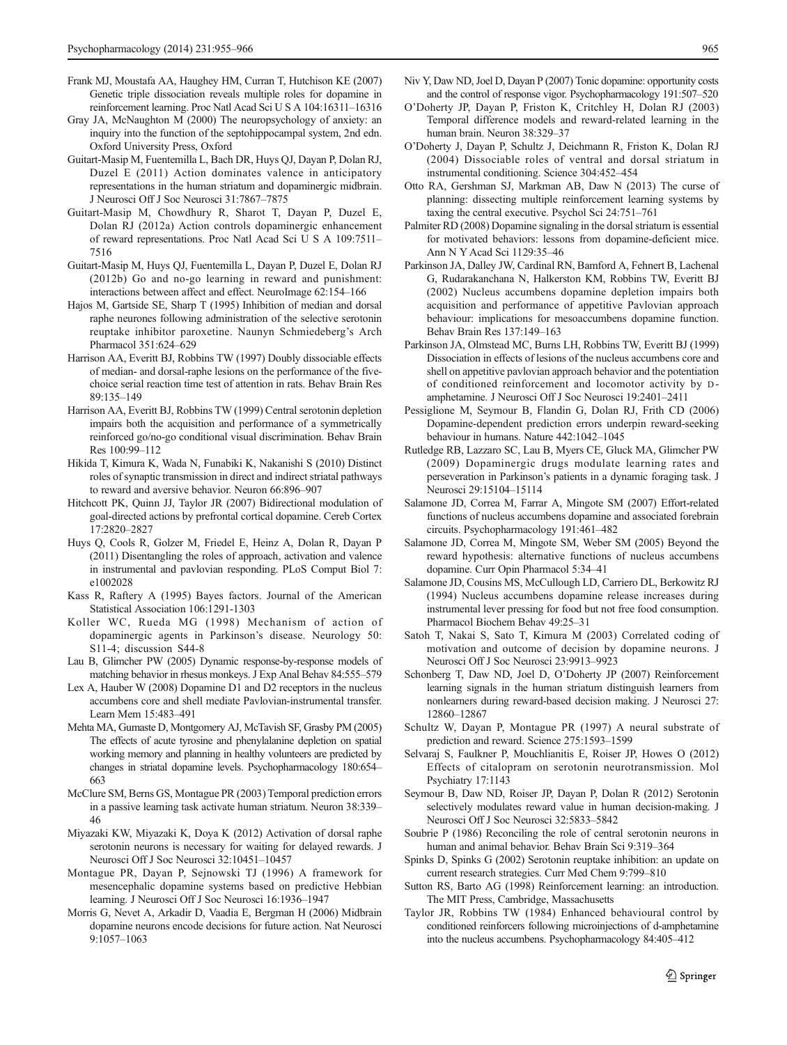- <span id="page-10-0"></span>Frank MJ, Moustafa AA, Haughey HM, Curran T, Hutchison KE (2007) Genetic triple dissociation reveals multiple roles for dopamine in reinforcement learning. Proc Natl Acad Sci U S A 104:16311–16316
- Gray JA, McNaughton M (2000) The neuropsychology of anxiety: an inquiry into the function of the septohippocampal system, 2nd edn. Oxford University Press, Oxford
- Guitart-Masip M, Fuentemilla L, Bach DR, Huys QJ, Dayan P, Dolan RJ, Duzel E (2011) Action dominates valence in anticipatory representations in the human striatum and dopaminergic midbrain. J Neurosci Off J Soc Neurosci 31:7867–7875
- Guitart-Masip M, Chowdhury R, Sharot T, Dayan P, Duzel E, Dolan RJ (2012a) Action controls dopaminergic enhancement of reward representations. Proc Natl Acad Sci U S A 109:7511– 7516
- Guitart-Masip M, Huys QJ, Fuentemilla L, Dayan P, Duzel E, Dolan RJ (2012b) Go and no-go learning in reward and punishment: interactions between affect and effect. NeuroImage 62:154–166
- Hajos M, Gartside SE, Sharp T (1995) Inhibition of median and dorsal raphe neurones following administration of the selective serotonin reuptake inhibitor paroxetine. Naunyn Schmiedeberg's Arch Pharmacol 351:624–629
- Harrison AA, Everitt BJ, Robbins TW (1997) Doubly dissociable effects of median- and dorsal-raphe lesions on the performance of the fivechoice serial reaction time test of attention in rats. Behav Brain Res 89:135–149
- Harrison AA, Everitt BJ, Robbins TW (1999) Central serotonin depletion impairs both the acquisition and performance of a symmetrically reinforced go/no-go conditional visual discrimination. Behav Brain Res 100:99–112
- Hikida T, Kimura K, Wada N, Funabiki K, Nakanishi S (2010) Distinct roles of synaptic transmission in direct and indirect striatal pathways to reward and aversive behavior. Neuron 66:896–907
- Hitchcott PK, Quinn JJ, Taylor JR (2007) Bidirectional modulation of goal-directed actions by prefrontal cortical dopamine. Cereb Cortex 17:2820–2827
- Huys Q, Cools R, Golzer M, Friedel E, Heinz A, Dolan R, Dayan P (2011) Disentangling the roles of approach, activation and valence in instrumental and pavlovian responding. PLoS Comput Biol 7: e1002028
- Kass R, Raftery A (1995) Bayes factors. Journal of the American Statistical Association 106:1291-1303
- Koller WC, Rueda MG (1998) Mechanism of action of dopaminergic agents in Parkinson's disease. Neurology 50: S11-4; discussion S44-8
- Lau B, Glimcher PW (2005) Dynamic response-by-response models of matching behavior in rhesus monkeys. J Exp Anal Behav 84:555–579
- Lex A, Hauber W (2008) Dopamine D1 and D2 receptors in the nucleus accumbens core and shell mediate Pavlovian-instrumental transfer. Learn Mem 15:483–491
- Mehta MA, Gumaste D, Montgomery AJ, McTavish SF, Grasby PM (2005) The effects of acute tyrosine and phenylalanine depletion on spatial working memory and planning in healthy volunteers are predicted by changes in striatal dopamine levels. Psychopharmacology 180:654– 663
- McClure SM, Berns GS, Montague PR (2003) Temporal prediction errors in a passive learning task activate human striatum. Neuron 38:339– 46
- Miyazaki KW, Miyazaki K, Doya K (2012) Activation of dorsal raphe serotonin neurons is necessary for waiting for delayed rewards. J Neurosci Off J Soc Neurosci 32:10451–10457
- Montague PR, Dayan P, Sejnowski TJ (1996) A framework for mesencephalic dopamine systems based on predictive Hebbian learning. J Neurosci Off J Soc Neurosci 16:1936–1947
- Morris G, Nevet A, Arkadir D, Vaadia E, Bergman H (2006) Midbrain dopamine neurons encode decisions for future action. Nat Neurosci 9:1057–1063
- Niv Y, Daw ND, Joel D, Dayan P (2007) Tonic dopamine: opportunity costs and the control of response vigor. Psychopharmacology 191:507–520
- O'Doherty JP, Dayan P, Friston K, Critchley H, Dolan RJ (2003) Temporal difference models and reward-related learning in the human brain. Neuron 38:329–37
- O'Doherty J, Dayan P, Schultz J, Deichmann R, Friston K, Dolan RJ (2004) Dissociable roles of ventral and dorsal striatum in instrumental conditioning. Science 304:452–454
- Otto RA, Gershman SJ, Markman AB, Daw N (2013) The curse of planning: dissecting multiple reinforcement learning systems by taxing the central executive. Psychol Sci 24:751–761
- Palmiter RD (2008) Dopamine signaling in the dorsal striatum is essential for motivated behaviors: lessons from dopamine-deficient mice. Ann N Y Acad Sci 1129:35–46
- Parkinson JA, Dalley JW, Cardinal RN, Bamford A, Fehnert B, Lachenal G, Rudarakanchana N, Halkerston KM, Robbins TW, Everitt BJ (2002) Nucleus accumbens dopamine depletion impairs both acquisition and performance of appetitive Pavlovian approach behaviour: implications for mesoaccumbens dopamine function. Behav Brain Res 137:149–163
- Parkinson JA, Olmstead MC, Burns LH, Robbins TW, Everitt BJ (1999) Dissociation in effects of lesions of the nucleus accumbens core and shell on appetitive pavlovian approach behavior and the potentiation of conditioned reinforcement and locomotor activity by Damphetamine. J Neurosci Off J Soc Neurosci 19:2401–2411
- Pessiglione M, Seymour B, Flandin G, Dolan RJ, Frith CD (2006) Dopamine-dependent prediction errors underpin reward-seeking behaviour in humans. Nature 442:1042–1045
- Rutledge RB, Lazzaro SC, Lau B, Myers CE, Gluck MA, Glimcher PW (2009) Dopaminergic drugs modulate learning rates and perseveration in Parkinson's patients in a dynamic foraging task. J Neurosci 29:15104–15114
- Salamone JD, Correa M, Farrar A, Mingote SM (2007) Effort-related functions of nucleus accumbens dopamine and associated forebrain circuits. Psychopharmacology 191:461–482
- Salamone JD, Correa M, Mingote SM, Weber SM (2005) Beyond the reward hypothesis: alternative functions of nucleus accumbens dopamine. Curr Opin Pharmacol 5:34–41
- Salamone JD, Cousins MS, McCullough LD, Carriero DL, Berkowitz RJ (1994) Nucleus accumbens dopamine release increases during instrumental lever pressing for food but not free food consumption. Pharmacol Biochem Behav 49:25–31
- Satoh T, Nakai S, Sato T, Kimura M (2003) Correlated coding of motivation and outcome of decision by dopamine neurons. J Neurosci Off J Soc Neurosci 23:9913–9923
- Schonberg T, Daw ND, Joel D, O'Doherty JP (2007) Reinforcement learning signals in the human striatum distinguish learners from nonlearners during reward-based decision making. J Neurosci 27: 12860–12867
- Schultz W, Dayan P, Montague PR (1997) A neural substrate of prediction and reward. Science 275:1593–1599
- Selvaraj S, Faulkner P, Mouchlianitis E, Roiser JP, Howes O (2012) Effects of citalopram on serotonin neurotransmission. Mol Psychiatry 17:1143
- Seymour B, Daw ND, Roiser JP, Dayan P, Dolan R (2012) Serotonin selectively modulates reward value in human decision-making. J Neurosci Off J Soc Neurosci 32:5833–5842
- Soubrie P (1986) Reconciling the role of central serotonin neurons in human and animal behavior. Behav Brain Sci 9:319–364
- Spinks D, Spinks G (2002) Serotonin reuptake inhibition: an update on current research strategies. Curr Med Chem 9:799–810
- Sutton RS, Barto AG (1998) Reinforcement learning: an introduction. The MIT Press, Cambridge, Massachusetts
- Taylor JR, Robbins TW (1984) Enhanced behavioural control by conditioned reinforcers following microinjections of d-amphetamine into the nucleus accumbens. Psychopharmacology 84:405–412